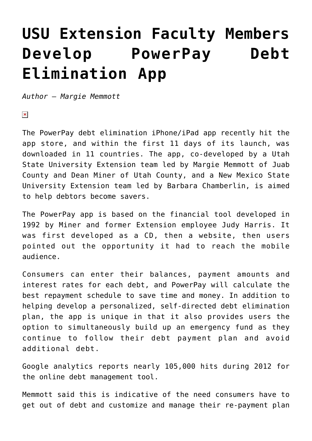## **[USU Extension Faculty Members](https://livewellutah.org/2014/07/30/usu-extension-faculty-members-develop-powerpay-debt-elimination-app/) [Develop PowerPay Debt](https://livewellutah.org/2014/07/30/usu-extension-faculty-members-develop-powerpay-debt-elimination-app/) [Elimination App](https://livewellutah.org/2014/07/30/usu-extension-faculty-members-develop-powerpay-debt-elimination-app/)**

*Author – Margie Memmott*

 $\pmb{\times}$ 

The PowerPay debt elimination iPhone/iPad app recently hit the app store, and within the first 11 days of its launch, was downloaded in 11 countries. The app, co-developed by a Utah State University Extension team led by Margie Memmott of Juab County and Dean Miner of Utah County, and a New Mexico State University Extension team led by Barbara Chamberlin, is aimed to help debtors become savers.

The PowerPay app is based on the financial tool developed in 1992 by Miner and former Extension employee Judy Harris. It was first developed as a CD, then a website, then users pointed out the opportunity it had to reach the mobile audience.

Consumers can enter their balances, payment amounts and interest rates for each debt, and PowerPay will calculate the best repayment schedule to save time and money. In addition to helping develop a personalized, self-directed debt elimination plan, the app is unique in that it also provides users the option to simultaneously build up an emergency fund as they continue to follow their debt payment plan and avoid additional debt.

Google analytics reports nearly 105,000 hits during 2012 for the online debt management tool.

Memmott said this is indicative of the need consumers have to get out of debt and customize and manage their re-payment plan